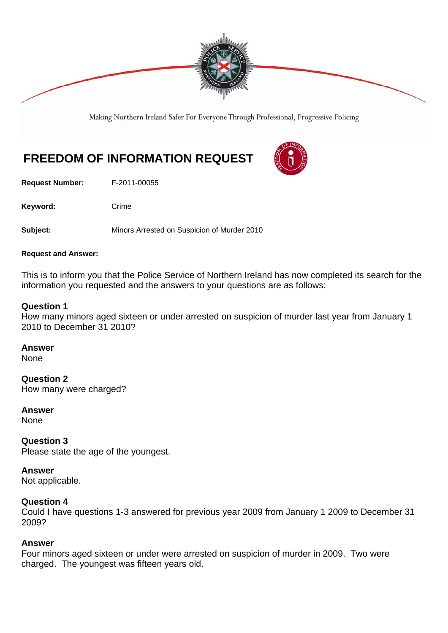

Making Northern Ireland Safer For Everyone Through Professional, Progressive Policing

# **FREEDOM OF INFORMATION REQUEST**

**Request Number:** F-2011-00055

Keyword: Crime

**Subject:** Minors Arrested on Suspicion of Murder 2010

#### **Request and Answer:**

This is to inform you that the Police Service of Northern Ireland has now completed its search for the information you requested and the answers to your questions are as follows:

#### **Question 1**

How many minors aged sixteen or under arrested on suspicion of murder last year from January 1 2010 to December 31 2010?

#### **Answer**

None

**Question 2**  How many were charged?

**Answer None** 

**Question 3**  Please state the age of the youngest.

**Answer**  Not applicable.

#### **Question 4**

Could I have questions 1-3 answered for previous year 2009 from January 1 2009 to December 31 2009?

#### **Answer**

Four minors aged sixteen or under were arrested on suspicion of murder in 2009. Two were charged. The youngest was fifteen years old.